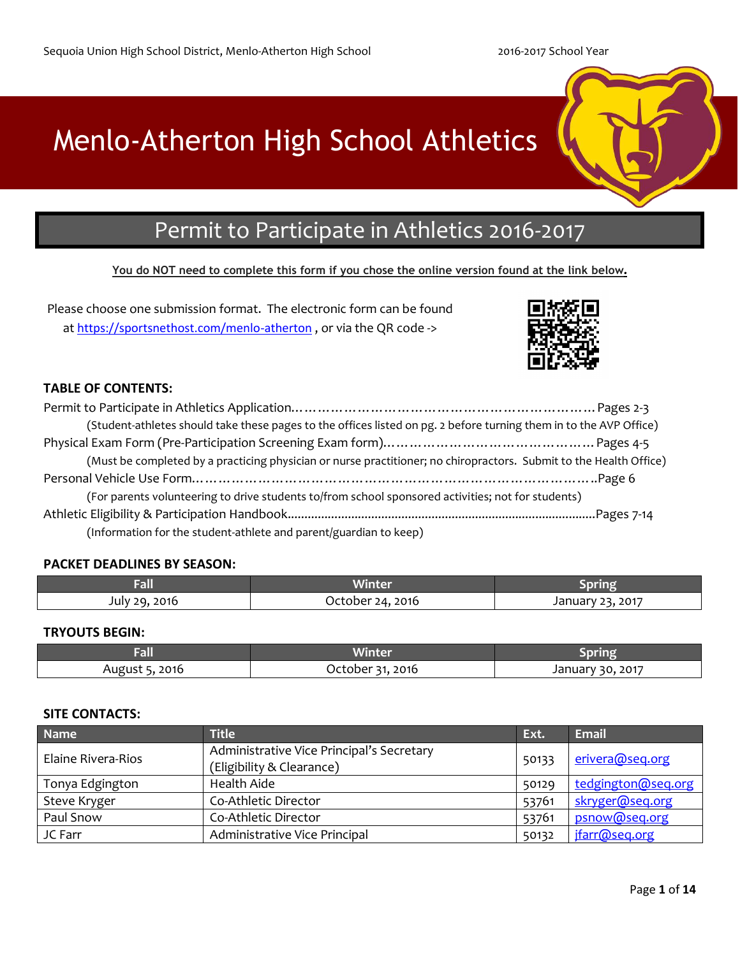# Menlo-Atherton High School Athletics

## Permit to Participate in Athletics 2016-2017

## **You do NOT need to complete this form if you chose the online version found at the link below.**

Please choose one submission format. The electronic form can be found at <https://sportsnethost.com/menlo-atherton> , or via the QR code ->



## **TABLE OF CONTENTS:**

| (Student-athletes should take these pages to the offices listed on pg. 2 before turning them in to the AVP Office) |  |
|--------------------------------------------------------------------------------------------------------------------|--|
|                                                                                                                    |  |
| (Must be completed by a practicing physician or nurse practitioner; no chiropractors. Submit to the Health Office) |  |
|                                                                                                                    |  |
| (For parents volunteering to drive students to/from school sponsored activities; not for students)                 |  |
|                                                                                                                    |  |
| (Information for the student-athlete and parent/guardian to keep)                                                  |  |

## **PACKET DEADLINES BY SEASON:**

| ŒШ            | Winter           |                  |
|---------------|------------------|------------------|
| July 29, 2016 | October 24, 2016 | January 23, 2017 |

## **TRYOUTS BEGIN:**

| геш           | Winter                |                      |
|---------------|-----------------------|----------------------|
| 2016<br>Augus | 2016<br><b>OCTODE</b> | 2017<br>20<br>Januar |

## **SITE CONTACTS:**

| <b>Name</b>        | <b>Title</b>                                                           | Ext.  | <b>Email</b>       |
|--------------------|------------------------------------------------------------------------|-------|--------------------|
| Elaine Rivera-Rios | Administrative Vice Principal's Secretary<br>(Eligibility & Clearance) | 50133 | erivera@seq.org    |
| Tonya Edgington    | Health Aide                                                            | 50129 | tedgington@seq.org |
| Steve Kryger       | Co-Athletic Director                                                   | 53761 | skryger@seq.org    |
| Paul Snow          | Co-Athletic Director                                                   | 53761 | psnow@seq.org      |
| JC Farr            | Administrative Vice Principal                                          |       | jfarr@seq.org      |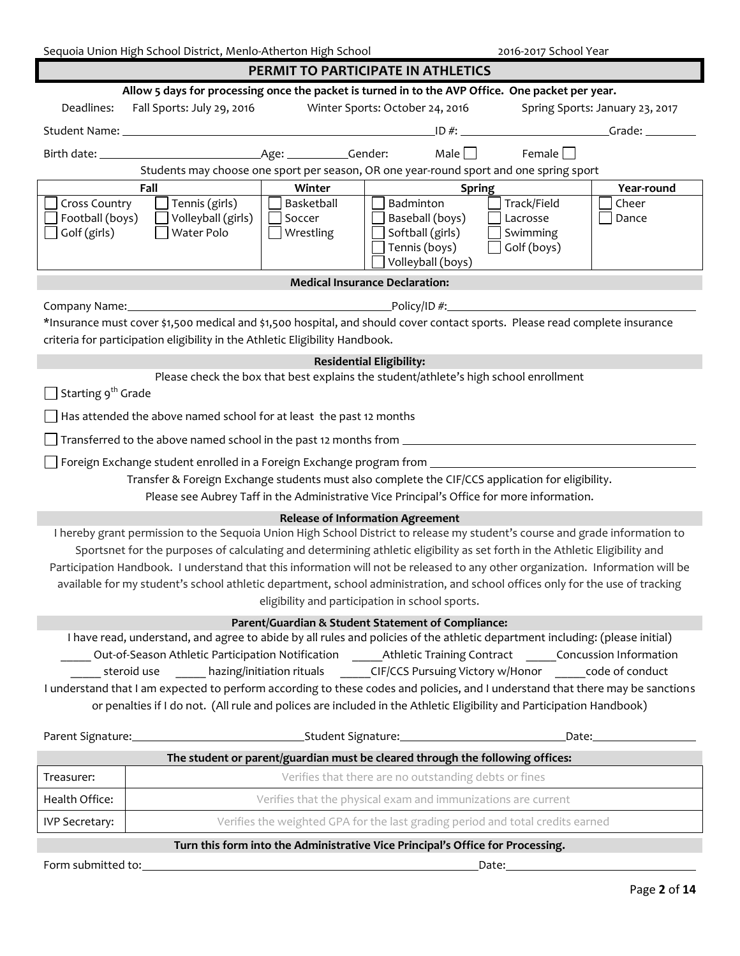| Sequoia Union High School District, Menlo-Atherton High School<br>2016-2017 School Year                                        |                                                                                                                                |                      |                                                                                            |             |                     |  |  |
|--------------------------------------------------------------------------------------------------------------------------------|--------------------------------------------------------------------------------------------------------------------------------|----------------------|--------------------------------------------------------------------------------------------|-------------|---------------------|--|--|
|                                                                                                                                |                                                                                                                                |                      | PERMIT TO PARTICIPATE IN ATHLETICS                                                         |             |                     |  |  |
|                                                                                                                                | Allow 5 days for processing once the packet is turned in to the AVP Office. One packet per year.                               |                      |                                                                                            |             |                     |  |  |
| Deadlines:                                                                                                                     | Fall Sports: July 29, 2016<br>Winter Sports: October 24, 2016<br>Spring Sports: January 23, 2017                               |                      |                                                                                            |             |                     |  |  |
|                                                                                                                                |                                                                                                                                |                      |                                                                                            | $ID \#$ :   | Grade:              |  |  |
|                                                                                                                                |                                                                                                                                |                      | Male $\Box$                                                                                | Female      |                     |  |  |
|                                                                                                                                | Students may choose one sport per season, OR one year-round sport and one spring sport                                         |                      |                                                                                            |             |                     |  |  |
|                                                                                                                                | Fall                                                                                                                           | Winter               | <b>Spring</b><br>Badminton                                                                 | Track/Field | Year-round<br>Cheer |  |  |
| <b>Cross Country</b><br>Football (boys)                                                                                        | Tennis (girls)<br>Volleyball (girls)                                                                                           | Basketball<br>Soccer | Baseball (boys)                                                                            | Lacrosse    | Dance               |  |  |
| Golf (girls)                                                                                                                   | Water Polo                                                                                                                     | Wrestling            | Softball (girls)                                                                           | Swimming    |                     |  |  |
|                                                                                                                                |                                                                                                                                |                      | Tennis (boys)                                                                              | Golf (boys) |                     |  |  |
|                                                                                                                                |                                                                                                                                |                      | Volleyball (boys)                                                                          |             |                     |  |  |
|                                                                                                                                |                                                                                                                                |                      | <b>Medical Insurance Declaration:</b>                                                      |             |                     |  |  |
|                                                                                                                                | Company Name: 2008 Company Name:                                                                                               |                      |                                                                                            |             |                     |  |  |
|                                                                                                                                | *Insurance must cover \$1,500 medical and \$1,500 hospital, and should cover contact sports. Please read complete insurance    |                      |                                                                                            |             |                     |  |  |
|                                                                                                                                | criteria for participation eligibility in the Athletic Eligibility Handbook.                                                   |                      |                                                                                            |             |                     |  |  |
|                                                                                                                                |                                                                                                                                |                      | <b>Residential Eligibility:</b>                                                            |             |                     |  |  |
| Starting 9 <sup>th</sup> Grade                                                                                                 |                                                                                                                                |                      | Please check the box that best explains the student/athlete's high school enrollment       |             |                     |  |  |
|                                                                                                                                |                                                                                                                                |                      |                                                                                            |             |                     |  |  |
|                                                                                                                                | Has attended the above named school for at least the past 12 months                                                            |                      |                                                                                            |             |                     |  |  |
|                                                                                                                                | Transferred to the above named school in the past 12 months from __________________________________                            |                      |                                                                                            |             |                     |  |  |
|                                                                                                                                |                                                                                                                                |                      |                                                                                            |             |                     |  |  |
|                                                                                                                                | Transfer & Foreign Exchange students must also complete the CIF/CCS application for eligibility.                               |                      |                                                                                            |             |                     |  |  |
|                                                                                                                                |                                                                                                                                |                      | Please see Aubrey Taff in the Administrative Vice Principal's Office for more information. |             |                     |  |  |
|                                                                                                                                | I hereby grant permission to the Sequoia Union High School District to release my student's course and grade information to    |                      | <b>Release of Information Agreement</b>                                                    |             |                     |  |  |
|                                                                                                                                | Sportsnet for the purposes of calculating and determining athletic eligibility as set forth in the Athletic Eligibility and    |                      |                                                                                            |             |                     |  |  |
|                                                                                                                                | Participation Handbook. I understand that this information will not be released to any other organization. Information will be |                      |                                                                                            |             |                     |  |  |
|                                                                                                                                | available for my student's school athletic department, school administration, and school offices only for the use of tracking  |                      |                                                                                            |             |                     |  |  |
|                                                                                                                                |                                                                                                                                |                      | eligibility and participation in school sports.                                            |             |                     |  |  |
|                                                                                                                                |                                                                                                                                |                      | Parent/Guardian & Student Statement of Compliance:                                         |             |                     |  |  |
|                                                                                                                                | I have read, understand, and agree to abide by all rules and policies of the athletic department including: (please initial)   |                      |                                                                                            |             |                     |  |  |
|                                                                                                                                | Out-of-Season Athletic Participation Notification Athletic Training Contract Concussion Information                            |                      |                                                                                            |             |                     |  |  |
|                                                                                                                                | steroid use hazing/initiation rituals CIF/CCS Pursuing Victory w/Honor code of conduct                                         |                      |                                                                                            |             |                     |  |  |
| I understand that I am expected to perform according to these codes and policies, and I understand that there may be sanctions |                                                                                                                                |                      |                                                                                            |             |                     |  |  |
| or penalties if I do not. (All rule and polices are included in the Athletic Eligibility and Participation Handbook)           |                                                                                                                                |                      |                                                                                            |             |                     |  |  |
|                                                                                                                                |                                                                                                                                |                      |                                                                                            |             |                     |  |  |
| The student or parent/guardian must be cleared through the following offices:                                                  |                                                                                                                                |                      |                                                                                            |             |                     |  |  |
| Treasurer:                                                                                                                     |                                                                                                                                |                      | Verifies that there are no outstanding debts or fines                                      |             |                     |  |  |
| Health Office:                                                                                                                 |                                                                                                                                |                      | Verifies that the physical exam and immunizations are current                              |             |                     |  |  |
| <b>IVP Secretary:</b>                                                                                                          |                                                                                                                                |                      | Verifies the weighted GPA for the last grading period and total credits earned             |             |                     |  |  |
| Turn this form into the Administrative Vice Principal's Office for Processing.                                                 |                                                                                                                                |                      |                                                                                            |             |                     |  |  |

Form submitted to: Date: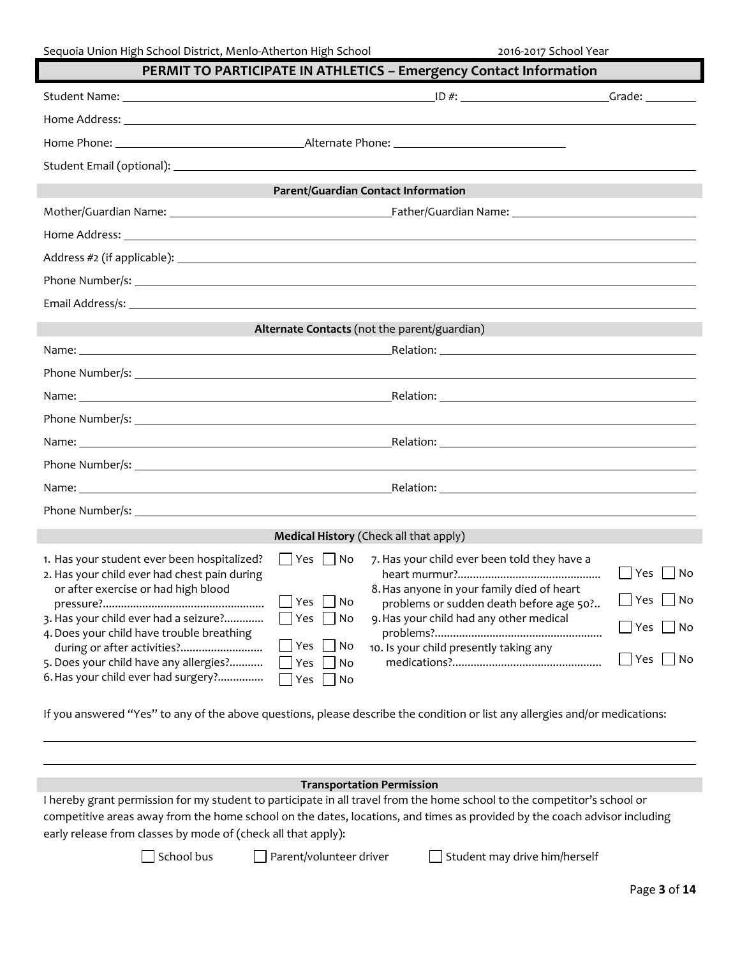| PERMIT TO PARTICIPATE IN ATHLETICS - Emergency Contact Information                                                                 |                                                                                                                                    |                      |  |  |
|------------------------------------------------------------------------------------------------------------------------------------|------------------------------------------------------------------------------------------------------------------------------------|----------------------|--|--|
|                                                                                                                                    |                                                                                                                                    |                      |  |  |
|                                                                                                                                    |                                                                                                                                    |                      |  |  |
|                                                                                                                                    |                                                                                                                                    |                      |  |  |
|                                                                                                                                    |                                                                                                                                    |                      |  |  |
|                                                                                                                                    | <b>Parent/Guardian Contact Information</b>                                                                                         |                      |  |  |
|                                                                                                                                    |                                                                                                                                    |                      |  |  |
|                                                                                                                                    |                                                                                                                                    |                      |  |  |
|                                                                                                                                    |                                                                                                                                    |                      |  |  |
|                                                                                                                                    |                                                                                                                                    |                      |  |  |
|                                                                                                                                    |                                                                                                                                    |                      |  |  |
|                                                                                                                                    | Alternate Contacts (not the parent/guardian)                                                                                       |                      |  |  |
|                                                                                                                                    |                                                                                                                                    |                      |  |  |
|                                                                                                                                    |                                                                                                                                    |                      |  |  |
|                                                                                                                                    |                                                                                                                                    |                      |  |  |
|                                                                                                                                    |                                                                                                                                    |                      |  |  |
|                                                                                                                                    |                                                                                                                                    |                      |  |  |
|                                                                                                                                    |                                                                                                                                    |                      |  |  |
|                                                                                                                                    |                                                                                                                                    |                      |  |  |
|                                                                                                                                    |                                                                                                                                    |                      |  |  |
|                                                                                                                                    | Medical History (Check all that apply)                                                                                             |                      |  |  |
| 1. Has your student ever been hospitalized?<br>2. Has your child ever had chest pain during<br>or after exercise or had high blood | $\Box$ Yes $\Box$ No<br>7. Has your child ever been told they have a<br>8. Has anyone in your family died of heart                 | $\Box$ Yes $\Box$ No |  |  |
| 3. Has your child ever had a seizure?                                                                                              | $\Box$ Yes $\Box$ No<br>problems or sudden death before age 50?<br>9. Has your child had any other medical<br>$\Box$ Yes $\Box$ No | $\Box$ Yes $\Box$ No |  |  |
| 4. Does your child have trouble breathing                                                                                          | Yes<br>  No                                                                                                                        | $\Box$ Yes $\Box$ No |  |  |
| during or after activities?<br>5. Does your child have any allergies?<br>6. Has your child ever had surgery?                       | 10. Is your child presently taking any<br>Yes<br>No<br>Yes<br>$\bigcup$ No                                                         | $\Box$ Yes $\Box$ No |  |  |
| If you answered "Yes" to any of the above questions, please describe the condition or list any allergies and/or medications:       |                                                                                                                                    |                      |  |  |

#### **Transportation Permission**

I hereby grant permission for my student to participate in all travel from the home school to the competitor's school or competitive areas away from the home school on the dates, locations, and times as provided by the coach advisor including early release from classes by mode of (check all that apply):

□ School bus □ Parent/volunteer driver □ Student may drive him/herself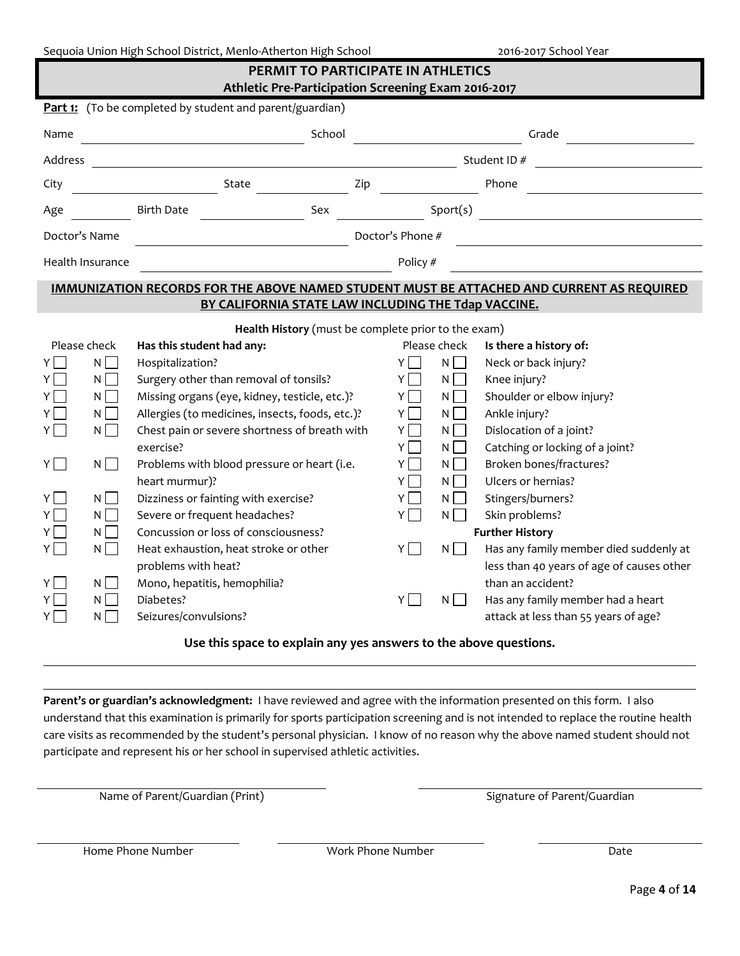|  |  | Sequoia Union High School District, Menlo-Atherton High School |
|--|--|----------------------------------------------------------------|
|  |  |                                                                |

2016-2017 School Year

| PERMIT TO PARTICIPATE IN ATHLETICS<br>Athletic Pre-Participation Screening Exam 2016-2017                                                      |                                                                                                                                                                                                                                                                                                                                                                                                                                                                                                                                                                                                                 |                                                                                           |                                                                                                                                             |                                                                                                                                                                                                                                                                                                                                                                                                                                               |
|------------------------------------------------------------------------------------------------------------------------------------------------|-----------------------------------------------------------------------------------------------------------------------------------------------------------------------------------------------------------------------------------------------------------------------------------------------------------------------------------------------------------------------------------------------------------------------------------------------------------------------------------------------------------------------------------------------------------------------------------------------------------------|-------------------------------------------------------------------------------------------|---------------------------------------------------------------------------------------------------------------------------------------------|-----------------------------------------------------------------------------------------------------------------------------------------------------------------------------------------------------------------------------------------------------------------------------------------------------------------------------------------------------------------------------------------------------------------------------------------------|
|                                                                                                                                                | <b>Part 1:</b> (To be completed by student and parent/guardian)                                                                                                                                                                                                                                                                                                                                                                                                                                                                                                                                                 |                                                                                           |                                                                                                                                             |                                                                                                                                                                                                                                                                                                                                                                                                                                               |
| Name                                                                                                                                           | School                                                                                                                                                                                                                                                                                                                                                                                                                                                                                                                                                                                                          |                                                                                           |                                                                                                                                             | Grade                                                                                                                                                                                                                                                                                                                                                                                                                                         |
| Address                                                                                                                                        |                                                                                                                                                                                                                                                                                                                                                                                                                                                                                                                                                                                                                 |                                                                                           |                                                                                                                                             | Student ID#                                                                                                                                                                                                                                                                                                                                                                                                                                   |
| City                                                                                                                                           | State<br>Zip                                                                                                                                                                                                                                                                                                                                                                                                                                                                                                                                                                                                    |                                                                                           |                                                                                                                                             | Phone                                                                                                                                                                                                                                                                                                                                                                                                                                         |
| Age                                                                                                                                            | <b>Birth Date</b><br>Sex                                                                                                                                                                                                                                                                                                                                                                                                                                                                                                                                                                                        |                                                                                           | Sport(s)                                                                                                                                    |                                                                                                                                                                                                                                                                                                                                                                                                                                               |
| Doctor's Name                                                                                                                                  |                                                                                                                                                                                                                                                                                                                                                                                                                                                                                                                                                                                                                 | Doctor's Phone #                                                                          |                                                                                                                                             |                                                                                                                                                                                                                                                                                                                                                                                                                                               |
| Health Insurance                                                                                                                               |                                                                                                                                                                                                                                                                                                                                                                                                                                                                                                                                                                                                                 | Policy #                                                                                  |                                                                                                                                             |                                                                                                                                                                                                                                                                                                                                                                                                                                               |
|                                                                                                                                                | <b>IMMUNIZATION RECORDS FOR THE ABOVE NAMED STUDENT MUST BE ATTACHED AND CURRENT AS REQUIRED</b>                                                                                                                                                                                                                                                                                                                                                                                                                                                                                                                |                                                                                           |                                                                                                                                             |                                                                                                                                                                                                                                                                                                                                                                                                                                               |
|                                                                                                                                                | BY CALIFORNIA STATE LAW INCLUDING THE Tdap VACCINE.                                                                                                                                                                                                                                                                                                                                                                                                                                                                                                                                                             |                                                                                           |                                                                                                                                             |                                                                                                                                                                                                                                                                                                                                                                                                                                               |
| Please check<br>YI<br>N<br>$N \Box$<br>ΥI<br>N<br>Υl<br>N<br>ΥI<br>N<br>YL<br>N<br>$Y$  <br>N<br>YL<br>N<br>N<br>Y<br>N<br>YI<br>N<br>Y<br>N L | Health History (must be complete prior to the exam)<br>Has this student had any:<br>Hospitalization?<br>Surgery other than removal of tonsils?<br>Missing organs (eye, kidney, testicle, etc.)?<br>Allergies (to medicines, insects, foods, etc.)?<br>Chest pain or severe shortness of breath with<br>exercise?<br>Problems with blood pressure or heart (i.e.<br>heart murmur)?<br>Dizziness or fainting with exercise?<br>Severe or frequent headaches?<br>Concussion or loss of consciousness?<br>Heat exhaustion, heat stroke or other<br>problems with heat?<br>Mono, hepatitis, hemophilia?<br>Diabetes? | Y I<br>$Y$ $\Box$<br>$Y \cup$<br>YI I<br>YII<br>ΥI<br>Y    <br>YI<br>ΥI<br>Y<br>Y I<br>Y۱ | Please check<br>$N$ $\Box$<br>NI I<br>$N \mid$<br>NII<br>NII<br>$N \mid \cdot \mid$<br>NI I<br>NI I<br>$N$    <br>ΝI<br>$N$    <br>$N \mid$ | Is there a history of:<br>Neck or back injury?<br>Knee injury?<br>Shoulder or elbow injury?<br>Ankle injury?<br>Dislocation of a joint?<br>Catching or locking of a joint?<br>Broken bones/fractures?<br>Ulcers or hernias?<br>Stingers/burners?<br>Skin problems?<br><b>Further History</b><br>Has any family member died suddenly at<br>less than 40 years of age of causes other<br>than an accident?<br>Has any family member had a heart |
| Y<br>N                                                                                                                                         | Seizures/convulsions?<br>Use this space to explain any yes answers to the above questions.                                                                                                                                                                                                                                                                                                                                                                                                                                                                                                                      |                                                                                           |                                                                                                                                             | attack at less than 55 years of age?                                                                                                                                                                                                                                                                                                                                                                                                          |
|                                                                                                                                                |                                                                                                                                                                                                                                                                                                                                                                                                                                                                                                                                                                                                                 |                                                                                           |                                                                                                                                             |                                                                                                                                                                                                                                                                                                                                                                                                                                               |

**Parent's or guardian's acknowledgment:** I have reviewed and agree with the information presented on this form. I also understand that this examination is primarily for sports participation screening and is not intended to replace the routine health care visits as recommended by the student's personal physician. I know of no reason why the above named student should not participate and represent his or her school in supervised athletic activities.

Name of Parent/Guardian (Print) Signature of Parent/Guardian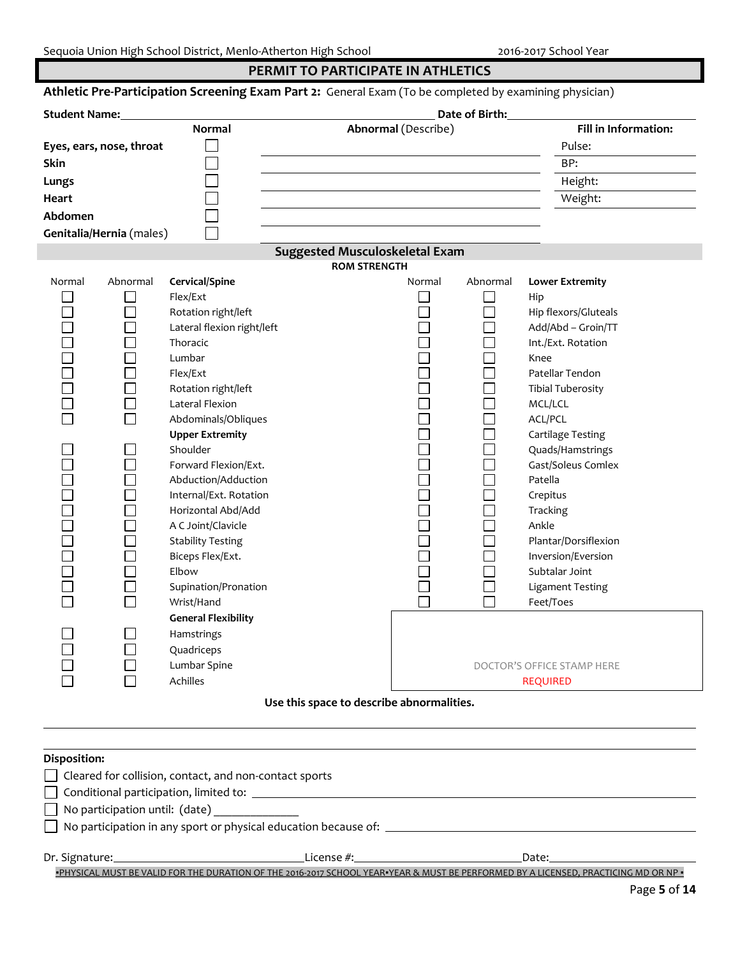## **PERMIT TO PARTICIPATE IN ATHLETICS**

| Date of Birth:<br><b>Student Name:</b> |                          |                            |                                       |              |                            |
|----------------------------------------|--------------------------|----------------------------|---------------------------------------|--------------|----------------------------|
|                                        |                          | <b>Normal</b>              | <b>Abnormal</b> (Describe)            |              | Fill in Information:       |
|                                        | Eyes, ears, nose, throat |                            |                                       |              | Pulse:                     |
| Skin                                   |                          |                            |                                       |              | BP:                        |
| Lungs                                  |                          |                            |                                       |              | Height:                    |
| <b>Heart</b>                           |                          |                            |                                       |              | Weight:                    |
| Abdomen                                |                          |                            |                                       |              |                            |
|                                        | Genitalia/Hernia (males) |                            |                                       |              |                            |
|                                        |                          |                            | <b>Suggested Musculoskeletal Exam</b> |              |                            |
|                                        |                          |                            | <b>ROM STRENGTH</b>                   |              |                            |
| Normal                                 | Abnormal                 | Cervical/Spine             | Normal                                | Abnormal     | <b>Lower Extremity</b>     |
|                                        |                          | Flex/Ext                   |                                       |              | Hip                        |
|                                        |                          | Rotation right/left        |                                       |              | Hip flexors/Gluteals       |
|                                        |                          | Lateral flexion right/left |                                       |              | Add/Abd - Groin/TT         |
|                                        |                          | Thoracic                   |                                       |              | Int./Ext. Rotation         |
|                                        |                          | Lumbar                     |                                       |              | Knee                       |
|                                        |                          | Flex/Ext                   |                                       |              | Patellar Tendon            |
|                                        |                          | Rotation right/left        |                                       |              | <b>Tibial Tuberosity</b>   |
|                                        |                          | Lateral Flexion            |                                       |              | MCL/LCL                    |
|                                        |                          | Abdominals/Obliques        |                                       |              | ACL/PCL                    |
|                                        |                          | <b>Upper Extremity</b>     |                                       |              | Cartilage Testing          |
|                                        |                          | Shoulder                   |                                       |              | Quads/Hamstrings           |
|                                        |                          | Forward Flexion/Ext.       |                                       |              | Gast/Soleus Comlex         |
|                                        |                          | Abduction/Adduction        |                                       |              | Patella                    |
|                                        |                          | Internal/Ext. Rotation     |                                       |              | Crepitus                   |
|                                        |                          | Horizontal Abd/Add         |                                       |              | Tracking                   |
|                                        |                          | A C Joint/Clavicle         |                                       |              | Ankle                      |
|                                        |                          | <b>Stability Testing</b>   |                                       |              | Plantar/Dorsiflexion       |
|                                        |                          | Biceps Flex/Ext.           |                                       |              | Inversion/Eversion         |
|                                        |                          | Elbow                      |                                       |              | Subtalar Joint             |
|                                        |                          | Supination/Pronation       |                                       |              | <b>Ligament Testing</b>    |
|                                        |                          | Wrist/Hand                 |                                       | $\mathbf{L}$ | Feet/Toes                  |
|                                        |                          | <b>General Flexibility</b> |                                       |              |                            |
|                                        |                          | <b>Hamstrings</b>          |                                       |              |                            |
|                                        |                          | Quadriceps                 |                                       |              |                            |
|                                        |                          | Lumbar Spine               |                                       |              | DOCTOR'S OFFICE STAMP HERE |
|                                        |                          | Achilles                   |                                       |              | <b>REQUIRED</b>            |

## **Disposition:**

| DISPOSITION:                                                                  |            |       |
|-------------------------------------------------------------------------------|------------|-------|
| $\Box$ Cleared for collision, contact, and non-contact sports                 |            |       |
| $\Box$ Conditional participation, limited to: $\Box$                          |            |       |
| $\Box$ No participation until: (date)                                         |            |       |
| $\Box$ No participation in any sport or physical education because of: $\Box$ |            |       |
|                                                                               |            |       |
| Dr. Signature:                                                                | License #: | Date: |

**•PHYSICAL MUST BE VALID FOR THE DURATION OF THE 2016-2017 SCHOOL YEAR•YEAR & MUST BE PERFORMED BY A LICENSED, PRACTICING MD OR NP •**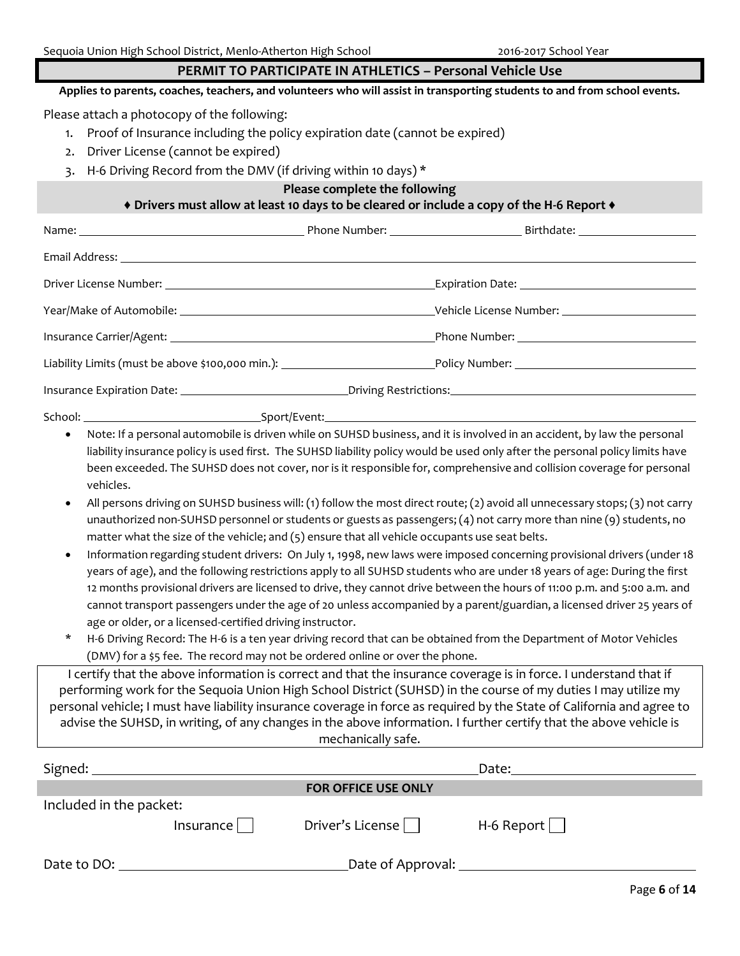## **PERMIT TO PARTICIPATE IN ATHLETICS – Personal Vehicle Use**

**Applies to parents, coaches, teachers, and volunteers who will assist in transporting students to and from school events.**

Please attach a photocopy of the following:

- 1. Proof of Insurance including the policy expiration date (cannot be expired)
- 2. Driver License (cannot be expired)
- 3. H-6 Driving Record from the DMV (if driving within 10 days) \*

## **Please complete the following**

## **♦ Drivers must allow at least 10 days to be cleared or include a copy of the H-6 Report ♦**

|         |              | Liability Limits (must be above \$100,000 min.): ________________________________Policy Number: _____________________ |  |
|---------|--------------|-----------------------------------------------------------------------------------------------------------------------|--|
|         |              |                                                                                                                       |  |
| School: | Sport/Event: |                                                                                                                       |  |

 Note: If a personal automobile is driven while on SUHSD business, and it is involved in an accident, by law the personal liability insurance policy is used first. The SUHSD liability policy would be used only after the personal policy limits have been exceeded. The SUHSD does not cover, nor is it responsible for, comprehensive and collision coverage for personal vehicles.

- All persons driving on SUHSD business will: (1) follow the most direct route; (2) avoid all unnecessary stops; (3) not carry unauthorized non-SUHSD personnel or students or guests as passengers; (4) not carry more than nine (9) students, no matter what the size of the vehicle; and (5) ensure that all vehicle occupants use seat belts.
- Information regarding student drivers: On July 1, 1998, new laws were imposed concerning provisional drivers (under 18 years of age), and the following restrictions apply to all SUHSD students who are under 18 years of age: During the first 12 months provisional drivers are licensed to drive, they cannot drive between the hours of 11:00 p.m. and 5:00 a.m. and cannot transport passengers under the age of 20 unless accompanied by a parent/guardian, a licensed driver 25 years of age or older, or a licensed-certified driving instructor.
- H-6 Driving Record: The H-6 is a ten year driving record that can be obtained from the Department of Motor Vehicles (DMV) for a \$5 fee. The record may not be ordered online or over the phone.

I certify that the above information is correct and that the insurance coverage is in force. I understand that if performing work for the Sequoia Union High School District (SUHSD) in the course of my duties I may utilize my personal vehicle; I must have liability insurance coverage in force as required by the State of California and agree to advise the SUHSD, in writing, of any changes in the above information. I further certify that the above vehicle is mechanically safe.

| Signed:                 |           |                            | Date:            |
|-------------------------|-----------|----------------------------|------------------|
|                         |           | <b>FOR OFFICE USE ONLY</b> |                  |
| Included in the packet: |           |                            |                  |
|                         | Insurance | Driver's License           | $H-6$ Report $ $ |
| Date to DO:             |           | _Date of Approval: _       |                  |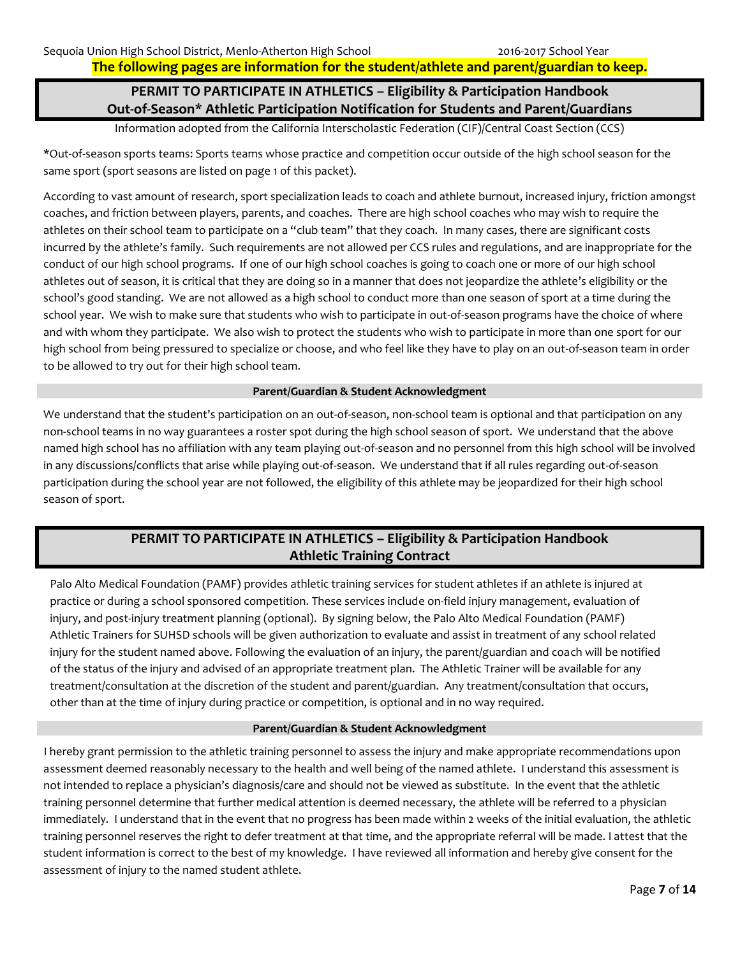**The following pages are information for the student/athlete and parent/guardian to keep.**

## **PERMIT TO PARTICIPATE IN ATHLETICS – Eligibility & Participation Handbook Out-of-Season\* Athletic Participation Notification for Students and Parent/Guardians**

Information adopted from the California Interscholastic Federation (CIF)/Central Coast Section (CCS)

\*Out-of-season sports teams: Sports teams whose practice and competition occur outside of the high school season for the same sport (sport seasons are listed on page 1 of this packet).

According to vast amount of research, sport specialization leads to coach and athlete burnout, increased injury, friction amongst coaches, and friction between players, parents, and coaches. There are high school coaches who may wish to require the athletes on their school team to participate on a "club team" that they coach. In many cases, there are significant costs incurred by the athlete's family. Such requirements are not allowed per CCS rules and regulations, and are inappropriate for the conduct of our high school programs. If one of our high school coaches is going to coach one or more of our high school athletes out of season, it is critical that they are doing so in a manner that does not jeopardize the athlete's eligibility or the school's good standing. We are not allowed as a high school to conduct more than one season of sport at a time during the school year. We wish to make sure that students who wish to participate in out-of-season programs have the choice of where and with whom they participate. We also wish to protect the students who wish to participate in more than one sport for our high school from being pressured to specialize or choose, and who feel like they have to play on an out-of-season team in order to be allowed to try out for their high school team.

#### **Parent/Guardian & Student Acknowledgment**

We understand that the student's participation on an out-of-season, non-school team is optional and that participation on any non-school teams in no way guarantees a roster spot during the high school season of sport. We understand that the above named high school has no affiliation with any team playing out-of-season and no personnel from this high school will be involved in any discussions/conflicts that arise while playing out-of-season. We understand that if all rules regarding out-of-season participation during the school year are not followed, the eligibility of this athlete may be jeopardized for their high school season of sport.

## **PERMIT TO PARTICIPATE IN ATHLETICS – Eligibility & Participation Handbook Athletic Training Contract**

Palo Alto Medical Foundation (PAMF) provides athletic training services for student athletes if an athlete is injured at practice or during a school sponsored competition. These services include on-field injury management, evaluation of injury, and post-injury treatment planning (optional). By signing below, the Palo Alto Medical Foundation (PAMF) Athletic Trainers for SUHSD schools will be given authorization to evaluate and assist in treatment of any school related injury for the student named above. Following the evaluation of an injury, the parent/guardian and coach will be notified of the status of the injury and advised of an appropriate treatment plan. The Athletic Trainer will be available for any treatment/consultation at the discretion of the student and parent/guardian. Any treatment/consultation that occurs, other than at the time of injury during practice or competition, is optional and in no way required.

#### **Parent/Guardian & Student Acknowledgment**

I hereby grant permission to the athletic training personnel to assess the injury and make appropriate recommendations upon assessment deemed reasonably necessary to the health and well being of the named athlete. I understand this assessment is not intended to replace a physician's diagnosis/care and should not be viewed as substitute. In the event that the athletic training personnel determine that further medical attention is deemed necessary, the athlete will be referred to a physician immediately. I understand that in the event that no progress has been made within 2 weeks of the initial evaluation, the athletic training personnel reserves the right to defer treatment at that time, and the appropriate referral will be made. I attest that the student information is correct to the best of my knowledge. I have reviewed all information and hereby give consent for the assessment of injury to the named student athlete.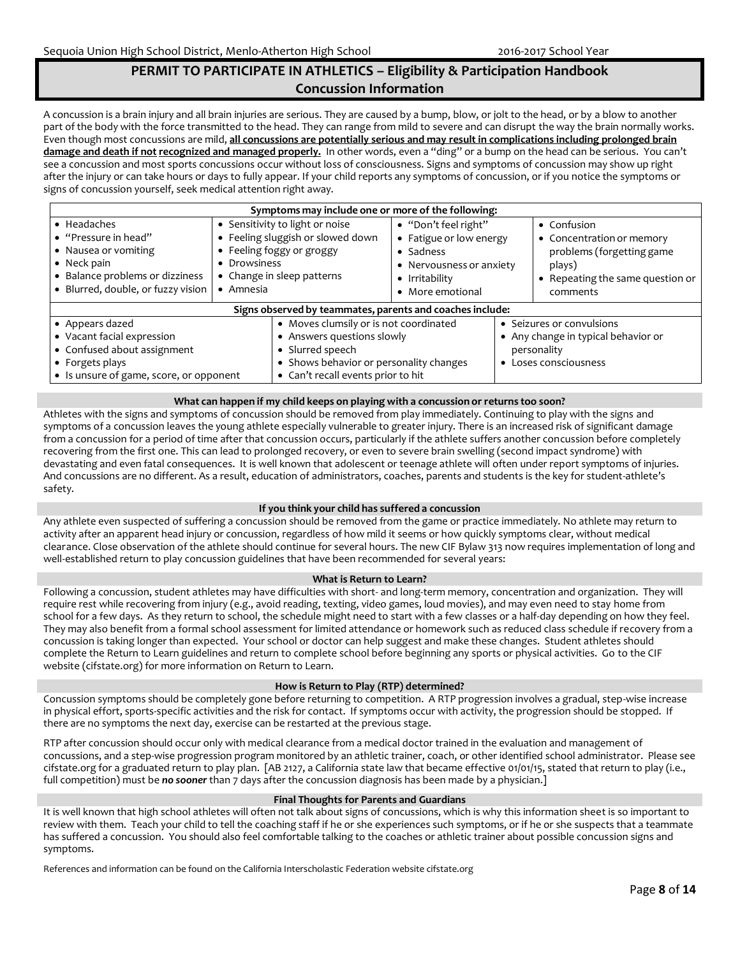## **PERMIT TO PARTICIPATE IN ATHLETICS – Eligibility & Participation Handbook Concussion Information**

A concussion is a brain injury and all brain injuries are serious. They are caused by a bump, blow, or jolt to the head, or by a blow to another part of the body with the force transmitted to the head. They can range from mild to severe and can disrupt the way the brain normally works. Even though most concussions are mild, **all concussions are potentially serious and may result in complications including prolonged brain damage and death if not recognized and managed properly.** In other words, even a "ding" or a bump on the head can be serious. You can't see a concussion and most sports concussions occur without loss of consciousness. Signs and symptoms of concussion may show up right after the injury or can take hours or days to fully appear. If your child reports any symptoms of concussion, or if you notice the symptoms or signs of concussion yourself, seek medical attention right away.

| Symptoms may include one or more of the following:                                 |                                                                                                                   |                                         |                                                                                          |                                     |                                                                       |
|------------------------------------------------------------------------------------|-------------------------------------------------------------------------------------------------------------------|-----------------------------------------|------------------------------------------------------------------------------------------|-------------------------------------|-----------------------------------------------------------------------|
| • Headaches<br>• "Pressure in head"<br>• Nausea or vomiting<br>$\bullet$ Neck pain | • Sensitivity to light or noise<br>• Feeling sluggish or slowed down<br>• Feeling foggy or groggy<br>• Drowsiness |                                         | · "Don't feel right"<br>• Fatigue or low energy<br>• Sadness<br>• Nervousness or anxiety |                                     | • Confusion<br>• Concentration or memory<br>problems (forgetting game |
| • Balance problems or dizziness<br>· Blurred, double, or fuzzy vision              | • Change in sleep patterns<br>$\bullet$ Amnesia                                                                   |                                         | • Irritability<br>• More emotional                                                       |                                     | plays)<br>• Repeating the same question or<br>comments                |
| Signs observed by teammates, parents and coaches include:                          |                                                                                                                   |                                         |                                                                                          |                                     |                                                                       |
| • Appears dazed                                                                    |                                                                                                                   | • Moves clumsily or is not coordinated  |                                                                                          | • Seizures or convulsions           |                                                                       |
| • Vacant facial expression                                                         |                                                                                                                   | • Answers questions slowly              |                                                                                          | • Any change in typical behavior or |                                                                       |
| • Confused about assignment                                                        |                                                                                                                   | • Slurred speech                        |                                                                                          |                                     | personality                                                           |
| • Forgets plays                                                                    |                                                                                                                   | • Shows behavior or personality changes |                                                                                          |                                     | • Loses consciousness                                                 |
| • Is unsure of game, score, or opponent                                            |                                                                                                                   | • Can't recall events prior to hit      |                                                                                          |                                     |                                                                       |

#### **What can happen if my child keeps on playing with a concussion or returns too soon?**

Athletes with the signs and symptoms of concussion should be removed from play immediately. Continuing to play with the signs and symptoms of a concussion leaves the young athlete especially vulnerable to greater injury. There is an increased risk of significant damage from a concussion for a period of time after that concussion occurs, particularly if the athlete suffers another concussion before completely recovering from the first one. This can lead to prolonged recovery, or even to severe brain swelling (second impact syndrome) with devastating and even fatal consequences. It is well known that adolescent or teenage athlete will often under report symptoms of injuries. And concussions are no different. As a result, education of administrators, coaches, parents and students is the key for student-athlete's safety.

#### **If you think your child has suffered a concussion**

Any athlete even suspected of suffering a concussion should be removed from the game or practice immediately. No athlete may return to activity after an apparent head injury or concussion, regardless of how mild it seems or how quickly symptoms clear, without medical clearance. Close observation of the athlete should continue for several hours. The new CIF Bylaw 313 now requires implementation of long and well-established return to play concussion guidelines that have been recommended for several years:

#### **What is Return to Learn?**

Following a concussion, student athletes may have difficulties with short- and long-term memory, concentration and organization. They will require rest while recovering from injury (e.g., avoid reading, texting, video games, loud movies), and may even need to stay home from school for a few days. As they return to school, the schedule might need to start with a few classes or a half-day depending on how they feel. They may also benefit from a formal school assessment for limited attendance or homework such as reduced class schedule if recovery from a concussion is taking longer than expected. Your school or doctor can help suggest and make these changes. Student athletes should complete the Return to Learn guidelines and return to complete school before beginning any sports or physical activities. Go to the CIF website (cifstate.org) for more information on Return to Learn.

#### **How is Return to Play (RTP) determined?**

Concussion symptoms should be completely gone before returning to competition. A RTP progression involves a gradual, step-wise increase in physical effort, sports-specific activities and the risk for contact. If symptoms occur with activity, the progression should be stopped. If there are no symptoms the next day, exercise can be restarted at the previous stage.

RTP after concussion should occur only with medical clearance from a medical doctor trained in the evaluation and management of concussions, and a step-wise progression program monitored by an athletic trainer, coach, or other identified school administrator. Please see cifstate.org for a graduated return to play plan. [AB 2127, a California state law that became effective 01/01/15, stated that return to play (i.e., full competition) must be *no sooner* than 7 days after the concussion diagnosis has been made by a physician.]

#### **Final Thoughts for Parents and Guardians**

It is well known that high school athletes will often not talk about signs of concussions, which is why this information sheet is so important to review with them. Teach your child to tell the coaching staff if he or she experiences such symptoms, or if he or she suspects that a teammate has suffered a concussion. You should also feel comfortable talking to the coaches or athletic trainer about possible concussion signs and symptoms.

References and information can be found on the California Interscholastic Federation website cifstate.org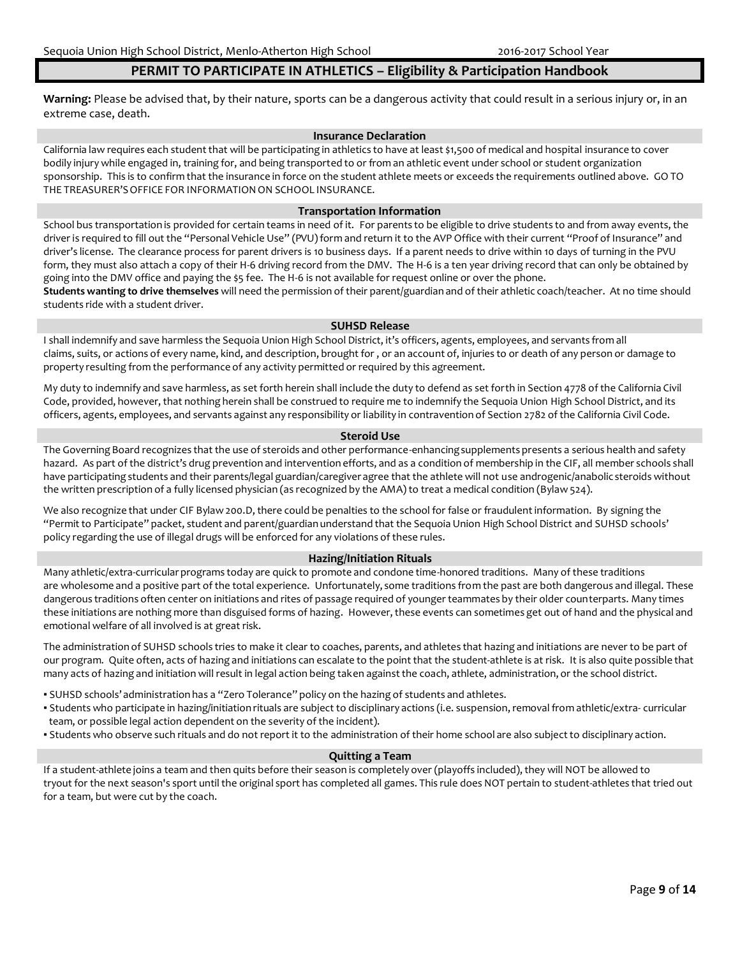#### **PERMIT TO PARTICIPATE IN ATHLETICS – Eligibility & Participation Handbook**

**Warning:** Please be advised that, by their nature, sports can be a dangerous activity that could result in a serious injury or, in an extreme case, death.

#### **Insurance Declaration**

California law requires each student that will be participating in athletics to have at least \$1,500 of medical and hospital insurance to cover bodily injury while engaged in, training for, and being transported to or from an athletic event under school or student organization sponsorship. This is to confirm that the insurance in force on the student athlete meets or exceeds the requirements outlined above. GO TO THE TREASURER'S OFFICE FOR INFORMATION ON SCHOOL INSURANCE.

#### **Transportation Information**

School bus transportation is provided for certain teams in need of it. For parents to be eligible to drive students to and from away events, the driver is required to fill out the "Personal Vehicle Use" (PVU) form and return it to the AVP Office with their current "Proof of Insurance" and driver's license. The clearance process for parent drivers is 10 business days. If a parent needs to drive within 10 days of turning in the PVU form, they must also attach a copy of their H-6 driving record from the DMV. The H-6 is a ten year driving record that can only be obtained by going into the DMV office and paying the \$5 fee. The H-6 is not available for request online or over the phone.

**Students wanting to drive themselves** will need the permission of their parent/guardian and of their athletic coach/teacher. At no time should students ride with a student driver.

#### **SUHSD Release**

I shall indemnify and save harmless the Sequoia Union High School District, it's officers, agents, employees, and servants from all claims, suits, or actions of every name, kind, and description, brought for , or an account of, injuries to or death of any person or damage to property resulting from the performance of any activity permitted or required by this agreement.

My duty to indemnify and save harmless, as set forth herein shall include the duty to defend as set forth in Section 4778 of the California Civil Code, provided, however, that nothing herein shall be construed to require me to indemnify the Sequoia Union High School District, and its officers, agents, employees, and servants against any responsibility or liability in contravention of Section 2782 of the California Civil Code.

#### **Steroid Use**

The Governing Board recognizes that the use of steroids and other performance-enhancingsupplements presents a serious health and safety hazard. As part of the district's drug prevention and intervention efforts, and as a condition of membership in the CIF, all member schools shall have participating students and their parents/legal guardian/caregiver agree that the athlete will not use androgenic/anabolic steroids without the written prescription of a fully licensed physician (as recognized by the AMA) to treat a medical condition (Bylaw 524).

We also recognize that under CIF Bylaw 200.D, there could be penalties to the school for false or fraudulentinformation. By signing the "Permit to Participate" packet, student and parent/guardian understand that the Sequoia Union High School District and SUHSD schools' policy regarding the use of illegal drugs will be enforced for any violations of these rules.

#### **Hazing/Initiation Rituals**

Many athletic/extra-curricular programs today are quick to promote and condone time-honored traditions. Many of these traditions are wholesome and a positive part of the total experience. Unfortunately, some traditions from the past are both dangerous and illegal. These dangerous traditions often center on initiations and rites of passage required of younger teammates by their older counterparts. Many times these initiations are nothing more than disguised forms of hazing. However, these events can sometimes get out of hand and the physical and emotional welfare of all involved is at great risk.

The administration of SUHSD schools tries to make it clear to coaches, parents, and athletes that hazing and initiations are never to be part of our program. Quite often, acts of hazing and initiations can escalate to the point that the student-athlete is at risk. It is also quite possible that many acts of hazing and initiation will result in legal action being taken againstthe coach, athlete, administration, or the school district.

- SUHSD schools' administration has a "Zero Tolerance" policy on the hazing of students and athletes.
- Students who participate in hazing/initiation rituals are subject to disciplinary actions (i.e. suspension,removal from athletic/extra- curricular team, or possible legal action dependent on the severity of the incident).
- Students who observe such rituals and do not report it to the administration of their home school are also subjectto disciplinary action.

#### **Quitting a Team**

If a student-athlete joins a team and then quits before their season is completely over (playoffs included), they will NOT be allowed to tryout for the next season's sport until the original sport has completed all games. This rule does NOT pertain to student-athletes that tried out for a team, but were cut by the coach.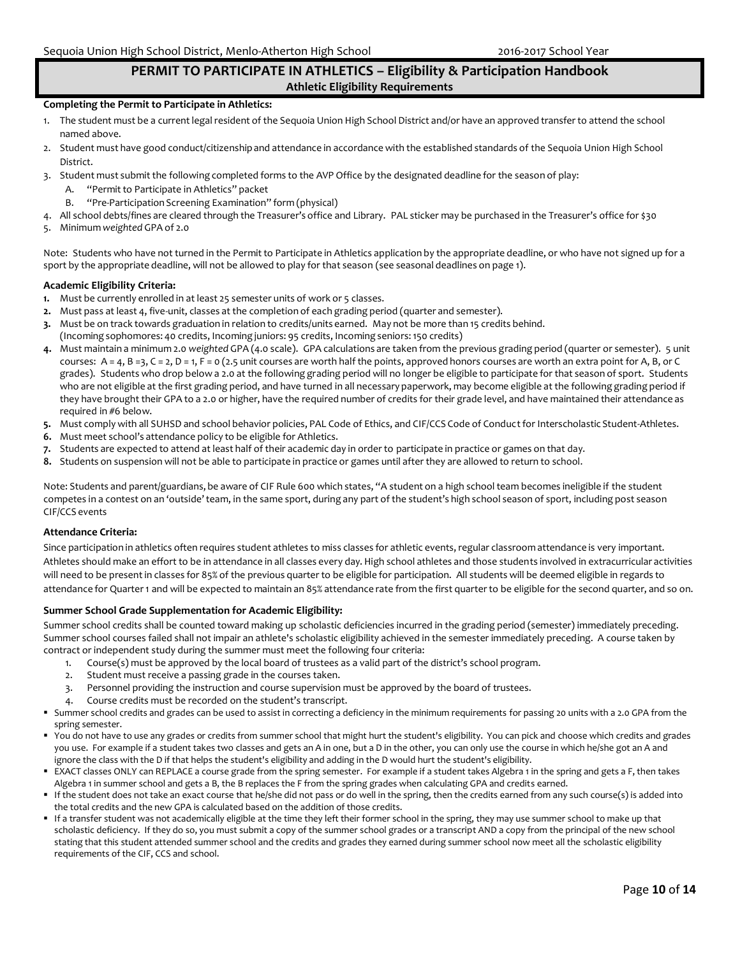## **PERMIT TO PARTICIPATE IN ATHLETICS – Eligibility & Participation Handbook Athletic Eligibility Requirements**

#### **Completing the Permit to Participate in Athletics:**

- 1. The student must be a current legal resident of the Sequoia Union High School District and/or have an approved transfer to attend the school named above.
- 2. Student must have good conduct/citizenshipand attendance in accordance with the established standards of the Sequoia Union High School District.
- 3. Student must submit the following completed forms to the AVP Office by the designated deadline for the season of play:
	- A. "Permit to Participate in Athletics" packet
		- "Pre-Participation Screening Examination" form (physical)
- 4. All school debts/fines are cleared through the Treasurer's office and Library. PAL sticker may be purchased in the Treasurer's office for \$30
- 5. Minimum *weighted* GPA of 2.0

Note: Students who have not turned in the Permit to Participate in Athletics application by the appropriate deadline, or who have not signed up for a sport by the appropriate deadline, will not be allowed to play for that season (see seasonal deadlines on page 1).

#### **Academic Eligibility Criteria:**

- **1.** Must be currently enrolled in at least 25 semester units of work or 5 classes.
- **2.** Must pass at least 4, five-unit, classes at the completion of each grading period (quarter and semester).
- **3.** Must be on track towards graduation in relation to credits/units earned. May not be more than 15 credits behind.
- (Incoming sophomores: 40 credits, Incoming juniors: 95 credits, Incoming seniors:150 credits)
- **4.** Must maintain a minimum 2.0 *weighted* GPA (4.0 scale). GPA calculations are taken from the previous grading period (quarter or semester). 5 unit courses:  $A = 4$ ,  $B = 3$ ,  $C = 2$ ,  $D = 1$ ,  $F = 0$  (2.5 unit courses are worth half the points, approved honors courses are worth an extra point for A, B, or C grades). Students who drop below a 2.0 at the following grading period will no longer be eligible to participate for that season of sport. Students who are not eligible at the first grading period, and have turned in all necessary paperwork, may become eligible at the following grading period if they have brought their GPA to a 2.0 or higher, have the required number of credits for their grade level, and have maintained their attendance as required in #6 below.
- 5. Must comply with all SUHSD and school behavior policies, PAL Code of Ethics, and CIF/CCS Code of Conduct for Interscholastic Student-Athletes.
- **6.** Must meet school's attendance policy to be eligible for Athletics.
- **7.** Students are expected to attend at least half of their academic day in order to participate in practice or games on that day.
- **8.** Students on suspension will not be able to participate in practice or games until after they are allowed to return to school.

Note: Students and parent/guardians, be aware of CIF Rule 600 which states, "A student on a high schoolteam becomes ineligible if the student competes in a contest on an 'outside'team, in the same sport, during any part of the student's high school season of sport, including post season CIF/CCS events

#### **Attendance Criteria:**

Since participation in athletics often requires student athletes to miss classes for athletic events, regular classroom attendance is very important. Athletes should make an effort to be in attendance in all classes every day. High school athletes and those students involved in extracurricular activities will need to be presentin classes for 85% of the previous quarter to be eligible for participation. All students will be deemed eligible in regards to attendance for Quarter 1 and will be expected to maintain an 85% attendance rate from the first quarter to be eligible for the second quarter, and so on.

#### **Summer School Grade Supplementation for Academic Eligibility:**

Summer school credits shall be counted toward making up scholastic deficiencies incurred in the grading period (semester) immediately preceding. Summer school courses failed shall not impair an athlete's scholastic eligibility achieved in the semester immediately preceding. A course taken by contract or independent study during the summer must meet the following four criteria:

- 1. Course(s) must be approved by the local board of trustees as a valid part of the district's school program.
- 2. Student must receive a passing grade in the courses taken.
- 3. Personnel providing the instruction and course supervision must be approved by the board of trustees.
- 4. Course credits must be recorded on the student's transcript.
- Summer school credits and grades can be used to assist in correcting a deficiency in the minimum requirements for passing 20 units with a 2.0 GPA from the spring semester.
- You do not have to use any grades or credits from summer school that might hurt the student's eligibility. You can pick and choose which credits and grades you use. For example if a student takes two classes and gets an A in one, but a D in the other, you can only use the course in which he/she got an A and ignore the class with the D if that helps the student's eligibility and adding in the D would hurt the student's eligibility.
- EXACT classes ONLY can REPLACE a course grade from the spring semester. For example if a student takes Algebra 1 in the spring and gets a F, then takes Algebra 1 in summer school and gets a B, the B replaces the F from the spring grades when calculating GPA and credits earned.
- If the student does not take an exact course that he/she did not pass or do well in the spring, then the credits earned from any such course(s) is added into the total credits and the new GPA is calculated based on the addition of those credits.
- If a transfer student was not academically eligible at the time they left their former school in the spring, they may use summer school to make up that scholastic deficiency. If they do so, you must submit a copy of the summer school grades or a transcript AND a copy from the principal of the new school stating that this student attended summer school and the credits and grades they earned during summer school now meet all the scholastic eligibility requirements of the CIF, CCS and school.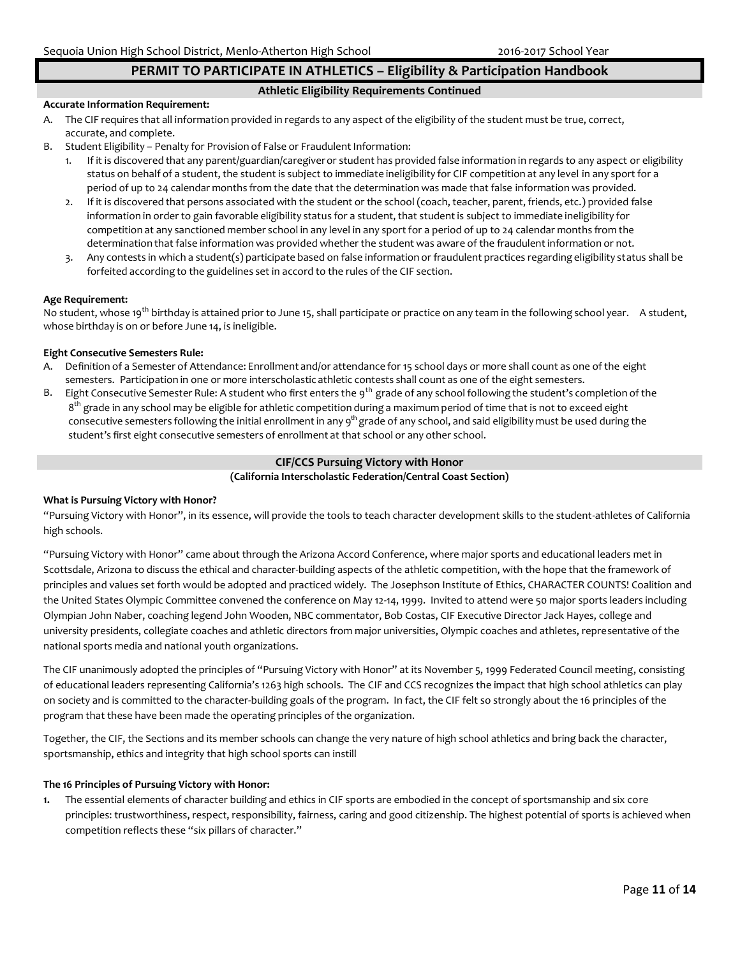## **PERMIT TO PARTICIPATE IN ATHLETICS – Eligibility & Participation Handbook**

#### **Athletic Eligibility Requirements Continued**

#### **Accurate Information Requirement:**

- A. The CIF requires that all information provided in regards to any aspect of the eligibility of the student must be true, correct, accurate, and complete.
- B. Student Eligibility Penalty for Provision of False or Fraudulent Information:
	- 1. If it is discovered that any parent/guardian/caregiveror student has provided false information in regards to any aspect or eligibility status on behalf of a student, the student is subject to immediate ineligibility for CIF competition at any level in any sport for a period of up to 24 calendar months from the date that the determination was made that false information was provided.
	- 2. If it is discovered that persons associated with the student or the school (coach, teacher, parent, friends, etc.) provided false information in order to gain favorable eligibility status for a student, that studentis subject to immediate ineligibility for competition at any sanctioned member school in any level in any sport for a period of up to 24 calendar months from the determination that false information was provided whether the student was aware of the fraudulentinformation or not.
	- 3. Any contests in which a student(s) participate based on false information or fraudulent practices regarding eligibility status shall be forfeited according to the guidelines set in accord to the rules of the CIF section.

#### **Age Requirement:**

No student, whose 19<sup>th</sup> birthday is attained prior to June 15, shall participate or practice on any team in the following school year. A student, whose birthday is on or before June 14, is ineligible.

#### **Eight Consecutive Semesters Rule:**

- A. Definition of a Semester of Attendance: Enrollment and/or attendance for 15 school days or more shall count as one of the eight semesters. Participation in one or more interscholastic athletic contests shall count as one of the eight semesters.
- B. Eight Consecutive Semester Rule: A student who first enters the 9<sup>th</sup> grade of any school following the student's completion of the 8<sup>th</sup> grade in any school may be eligible for athletic competition during a maximum period of time that is not to exceed eight consecutive semesters following the initial enrollment in any 9<sup>th</sup> grade of any school, and said eligibility must be used during the student's first eight consecutive semesters of enrollment at that school or any other school.

## **CIF/CCS Pursuing Victory with Honor**

## **(California Interscholastic Federation/Central Coast Section)**

#### **What is Pursuing Victory with Honor?**

"Pursuing Victory with Honor", in its essence, will provide the tools to teach character development skills to the student-athletes of California high schools.

"Pursuing Victory with Honor" came about through the Arizona Accord Conference, where major sports and educational leaders met in Scottsdale, Arizona to discuss the ethical and character-building aspects of the athletic competition, with the hope that the framework of principles and values set forth would be adopted and practiced widely. The Josephson Institute of Ethics, CHARACTER COUNTS! Coalition and the United States Olympic Committee convened the conference on May 12-14, 1999. Invited to attend were 50 major sports leaders including Olympian John Naber, coaching legend John Wooden, NBC commentator, Bob Costas, CIF Executive Director Jack Hayes, college and university presidents, collegiate coaches and athletic directors from major universities, Olympic coaches and athletes, representative of the national sports media and national youth organizations.

The CIF unanimously adopted the principles of "Pursuing Victory with Honor" at its November 5, 1999 Federated Council meeting, consisting of educational leaders representing California's 1263 high schools. The CIF and CCS recognizes the impact that high school athletics can play on society and is committed to the character-building goals of the program. In fact, the CIF felt so strongly about the 16 principles of the program that these have been made the operating principles of the organization.

Together, the CIF, the Sections and its member schools can change the very nature of high school athletics and bring back the character, sportsmanship, ethics and integrity that high school sports can instill

#### **The 16 Principles of Pursuing Victory with Honor:**

**1.** The essential elements of character building and ethics in CIF sports are embodied in the concept of sportsmanship and six core principles: trustworthiness, respect, responsibility, fairness, caring and good citizenship. The highest potential of sports is achieved when competition reflects these "six pillars of character."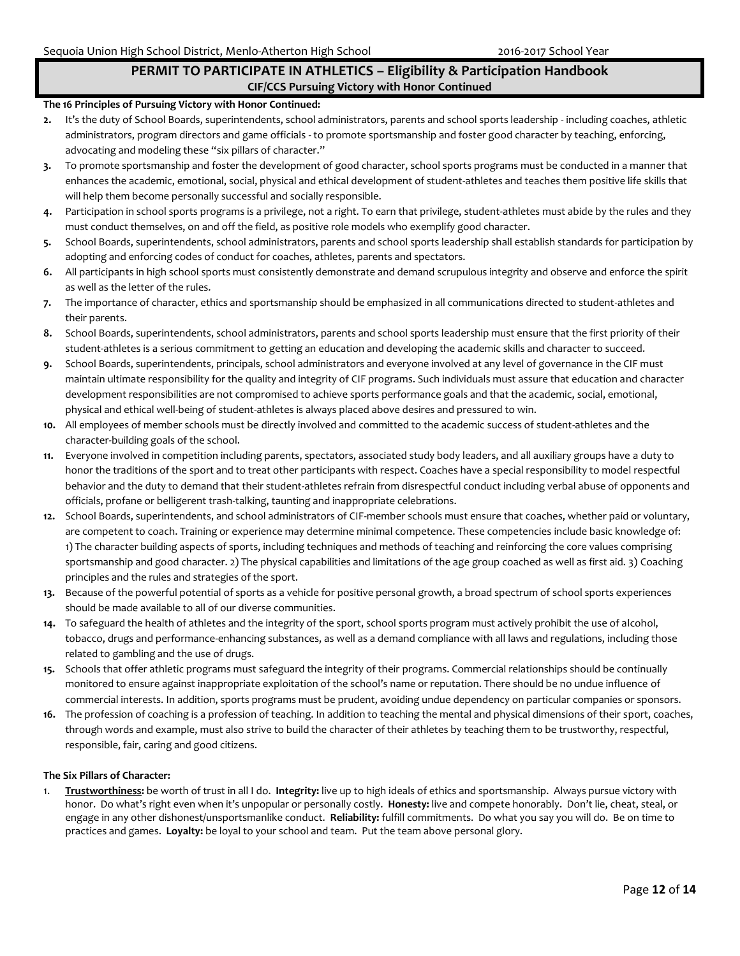## **PERMIT TO PARTICIPATE IN ATHLETICS – Eligibility & Participation Handbook CIF/CCS Pursuing Victory with Honor Continued**

#### **The 16 Principles of Pursuing Victory with Honor Continued:**

- **2.** It's the duty of School Boards, superintendents, school administrators, parents and school sports leadership including coaches, athletic administrators, program directors and game officials - to promote sportsmanship and foster good character by teaching, enforcing, advocating and modeling these "six pillars of character."
- **3.** To promote sportsmanship and foster the development of good character, school sports programs must be conducted in a manner that enhances the academic, emotional, social, physical and ethical development of student-athletes and teaches them positive life skills that will help them become personally successful and socially responsible.
- **4.** Participation in school sports programs is a privilege, not a right. To earn that privilege, student-athletes must abide by the rules and they must conduct themselves, on and off the field, as positive role models who exemplify good character.
- **5.** School Boards, superintendents, school administrators, parents and school sports leadership shall establish standards for participation by adopting and enforcing codes of conduct for coaches, athletes, parents and spectators.
- **6.** All participants in high school sports must consistently demonstrate and demand scrupulous integrity and observe and enforce the spirit as well as the letter of the rules.
- **7.** The importance of character, ethics and sportsmanship should be emphasized in all communications directed to student-athletes and their parents.
- **8.** School Boards, superintendents, school administrators, parents and school sports leadership must ensure that the first priority of their student-athletes is a serious commitment to getting an education and developing the academic skills and character to succeed.
- **9.** School Boards, superintendents, principals, school administrators and everyone involved at any level of governance in the CIF must maintain ultimate responsibility for the quality and integrity of CIF programs. Such individuals must assure that education and character development responsibilities are not compromised to achieve sports performance goals and that the academic, social, emotional, physical and ethical well-being of student-athletes is always placed above desires and pressured to win.
- **10.** All employees of member schools must be directly involved and committed to the academic success of student-athletes and the character-building goals of the school.
- **11.** Everyone involved in competition including parents, spectators, associated study body leaders, and all auxiliary groups have a duty to honor the traditions of the sport and to treat other participants with respect. Coaches have a special responsibility to model respectful behavior and the duty to demand that their student-athletes refrain from disrespectful conduct including verbal abuse of opponents and officials, profane or belligerent trash-talking, taunting and inappropriate celebrations.
- **12.** School Boards, superintendents, and school administrators of CIF-member schools must ensure that coaches, whether paid or voluntary, are competent to coach. Training or experience may determine minimal competence. These competencies include basic knowledge of: 1) The character building aspects of sports, including techniques and methods of teaching and reinforcing the core values comprising sportsmanship and good character. 2) The physical capabilities and limitations of the age group coached as well as first aid. 3) Coaching principles and the rules and strategies of the sport.
- **13.** Because of the powerful potential of sports as a vehicle for positive personal growth, a broad spectrum of school sports experiences should be made available to all of our diverse communities.
- **14.** To safeguard the health of athletes and the integrity of the sport, school sports program must actively prohibit the use of alcohol, tobacco, drugs and performance-enhancing substances, as well as a demand compliance with all laws and regulations, including those related to gambling and the use of drugs.
- **15.** Schools that offer athletic programs must safeguard the integrity of their programs. Commercial relationships should be continually monitored to ensure against inappropriate exploitation of the school's name or reputation. There should be no undue influence of commercial interests. In addition, sports programs must be prudent, avoiding undue dependency on particular companies or sponsors.
- **16.** The profession of coaching is a profession of teaching. In addition to teaching the mental and physical dimensions of their sport, coaches, through words and example, must also strive to build the character of their athletes by teaching them to be trustworthy, respectful, responsible, fair, caring and good citizens.

#### **The Six Pillars of Character:**

1. **Trustworthiness:** be worth of trust in all I do. **Integrity:** live up to high ideals of ethics and sportsmanship. Always pursue victory with honor. Do what's right even when it's unpopular or personally costly. **Honesty:** live and compete honorably. Don't lie, cheat, steal, or engage in any other dishonest/unsportsmanlike conduct. **Reliability:** fulfill commitments. Do what you say you will do. Be on time to practices and games. **Loyalty:** be loyal to your school and team. Put the team above personal glory.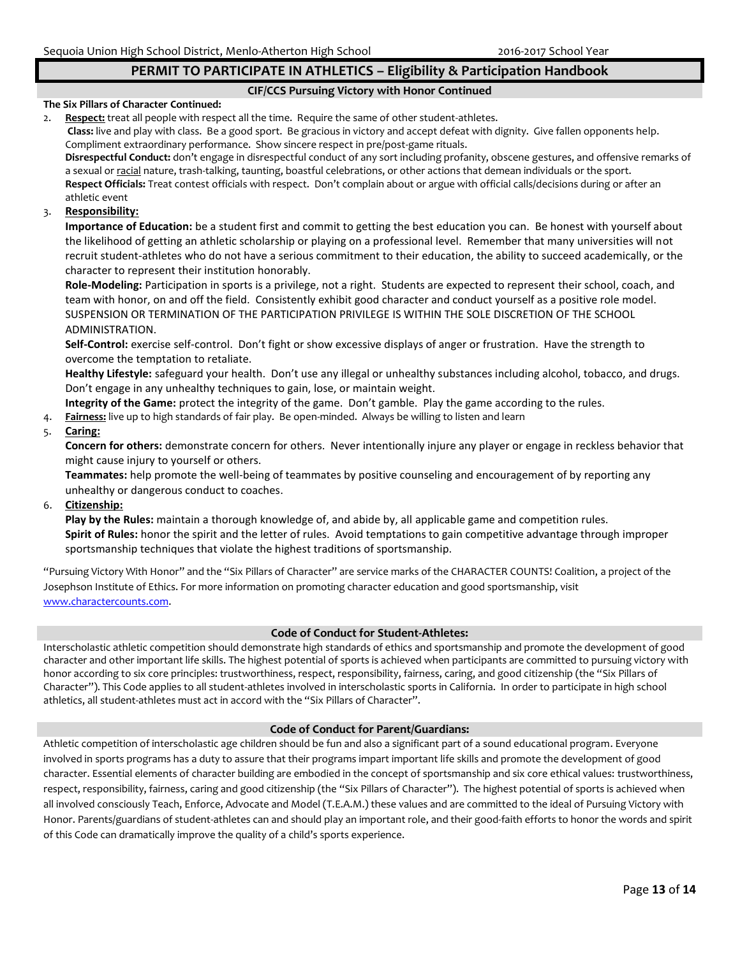## **PERMIT TO PARTICIPATE IN ATHLETICS – Eligibility & Participation Handbook**

#### **CIF/CCS Pursuing Victory with Honor Continued**

#### **The Six Pillars of Character Continued:**

2. **Respect:** treat all people with respect all the time. Require the same of other student-athletes. **Class:** live and play with class. Be a good sport. Be gracious in victory and accept defeat with dignity. Give fallen opponents help. Compliment extraordinary performance. Show sincere respect in pre/post-game rituals.

**Disrespectful Conduct:** don't engage in disrespectful conduct of any sort including profanity, obscene gestures, and offensive remarks of a sexual or racial nature, trash-talking, taunting, boastful celebrations, or other actions that demean individuals or the sport. **Respect Officials:** Treat contest officials with respect. Don't complain about or argue with official calls/decisions during or after an athletic event

#### 3. **Responsibility:**

**Importance of Education:** be a student first and commit to getting the best education you can. Be honest with yourself about the likelihood of getting an athletic scholarship or playing on a professional level. Remember that many universities will not recruit student-athletes who do not have a serious commitment to their education, the ability to succeed academically, or the character to represent their institution honorably.

**Role-Modeling:** Participation in sports is a privilege, not a right. Students are expected to represent their school, coach, and team with honor, on and off the field. Consistently exhibit good character and conduct yourself as a positive role model. SUSPENSION OR TERMINATION OF THE PARTICIPATION PRIVILEGE IS WITHIN THE SOLE DISCRETION OF THE SCHOOL ADMINISTRATION.

**Self-Control:** exercise self-control. Don't fight or show excessive displays of anger or frustration. Have the strength to overcome the temptation to retaliate.

**Healthy Lifestyle:** safeguard your health. Don't use any illegal or unhealthy substances including alcohol, tobacco, and drugs. Don't engage in any unhealthy techniques to gain, lose, or maintain weight.

**Integrity of the Game:** protect the integrity of the game. Don't gamble. Play the game according to the rules.

4. **Fairness:** live up to high standards of fair play. Be open-minded. Always be willing to listen and learn

#### 5. **Caring:**

**Concern for others:** demonstrate concern for others. Never intentionally injure any player or engage in reckless behavior that might cause injury to yourself or others.

**Teammates:** help promote the well-being of teammates by positive counseling and encouragement of by reporting any unhealthy or dangerous conduct to coaches.

6. **Citizenship:** 

**Play by the Rules:** maintain a thorough knowledge of, and abide by, all applicable game and competition rules. **Spirit of Rules:** honor the spirit and the letter of rules. Avoid temptations to gain competitive advantage through improper sportsmanship techniques that violate the highest traditions of sportsmanship.

"Pursuing Victory With Honor" and the "Six Pillars of Character" are service marks of the CHARACTER COUNTS! Coalition, a project of the Josephson Institute of Ethics. For more information on promoting character education and good sportsmanship, visit [www.charactercounts.com.](http://www.charactercounts.com/)

#### **Code of Conduct for Student-Athletes:**

Interscholastic athletic competition should demonstrate high standards of ethics and sportsmanship and promote the development of good character and other important life skills. The highest potential of sports is achieved when participants are committed to pursuing victory with honor according to six core principles: trustworthiness, respect, responsibility, fairness, caring, and good citizenship (the "Six Pillars of Character"). This Code applies to all student-athletes involved in interscholastic sports in California. In order to participate in high school athletics, all student-athletes must act in accord with the "Six Pillars of Character".

#### **Code of Conduct for Parent/Guardians:**

Athletic competition of interscholastic age children should be fun and also a significant part of a sound educational program. Everyone involved in sports programs has a duty to assure that their programs impart important life skills and promote the development of good character. Essential elements of character building are embodied in the concept of sportsmanship and six core ethical values: trustworthiness, respect, responsibility, fairness, caring and good citizenship (the "Six Pillars of Character"). The highest potential of sports is achieved when all involved consciously Teach, Enforce, Advocate and Model (T.E.A.M.) these values and are committed to the ideal of Pursuing Victory with Honor. Parents/guardians of student-athletes can and should play an important role, and their good-faith efforts to honor the words and spirit of this Code can dramatically improve the quality of a child's sports experience.